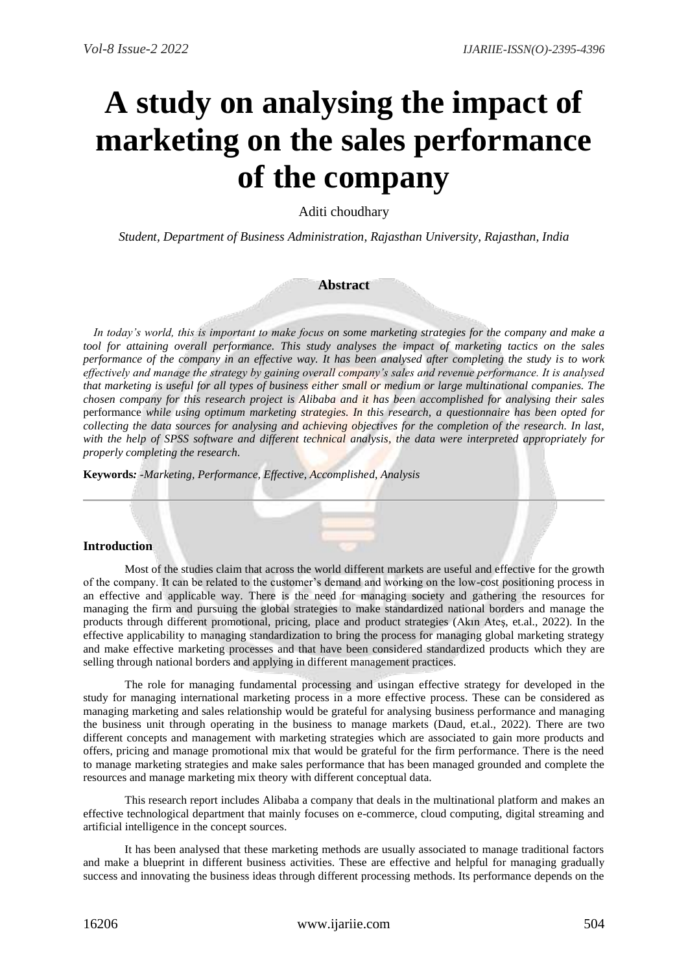# **A study on analysing the impact of marketing on the sales performance of the company**

Aditi choudhary

*Student, Department of Business Administration, Rajasthan University, Rajasthan, India*

# **Abstract**

 *In today's world, this is important to make focus on some marketing strategies for the company and make a tool for attaining overall performance. This study analyses the impact of marketing tactics on the sales performance of the company in an effective way. It has been analysed after completing the study is to work effectively and manage the strategy by gaining overall company's sales and revenue performance. It is analysed that marketing is useful for all types of business either small or medium or large multinational companies. The chosen company for this research project is Alibaba and it has been accomplished for analysing their sales*  performance *while using optimum marketing strategies. In this research, a questionnaire has been opted for collecting the data sources for analysing and achieving objectives for the completion of the research. In last, with the help of SPSS software and different technical analysis, the data were interpreted appropriately for properly completing the research.*

**Keywords***: -Marketing, Performance, Effective, Accomplished, Analysis*

# **Introduction**

Most of the studies claim that across the world different markets are useful and effective for the growth of the company. It can be related to the customer's demand and working on the low-cost positioning process in an effective and applicable way. There is the need for managing society and gathering the resources for managing the firm and pursuing the global strategies to make standardized national borders and manage the products through different promotional, pricing, place and product strategies (Akın Ateş, et.al., 2022). In the effective applicability to managing standardization to bring the process for managing global marketing strategy and make effective marketing processes and that have been considered standardized products which they are selling through national borders and applying in different management practices.

The role for managing fundamental processing and usingan effective strategy for developed in the study for managing international marketing process in a more effective process. These can be considered as managing marketing and sales relationship would be grateful for analysing business performance and managing the business unit through operating in the business to manage markets (Daud, et.al., 2022). There are two different concepts and management with marketing strategies which are associated to gain more products and offers, pricing and manage promotional mix that would be grateful for the firm performance. There is the need to manage marketing strategies and make sales performance that has been managed grounded and complete the resources and manage marketing mix theory with different conceptual data.

This research report includes Alibaba a company that deals in the multinational platform and makes an effective technological department that mainly focuses on e-commerce, cloud computing, digital streaming and artificial intelligence in the concept sources.

It has been analysed that these marketing methods are usually associated to manage traditional factors and make a blueprint in different business activities. These are effective and helpful for managing gradually success and innovating the business ideas through different processing methods. Its performance depends on the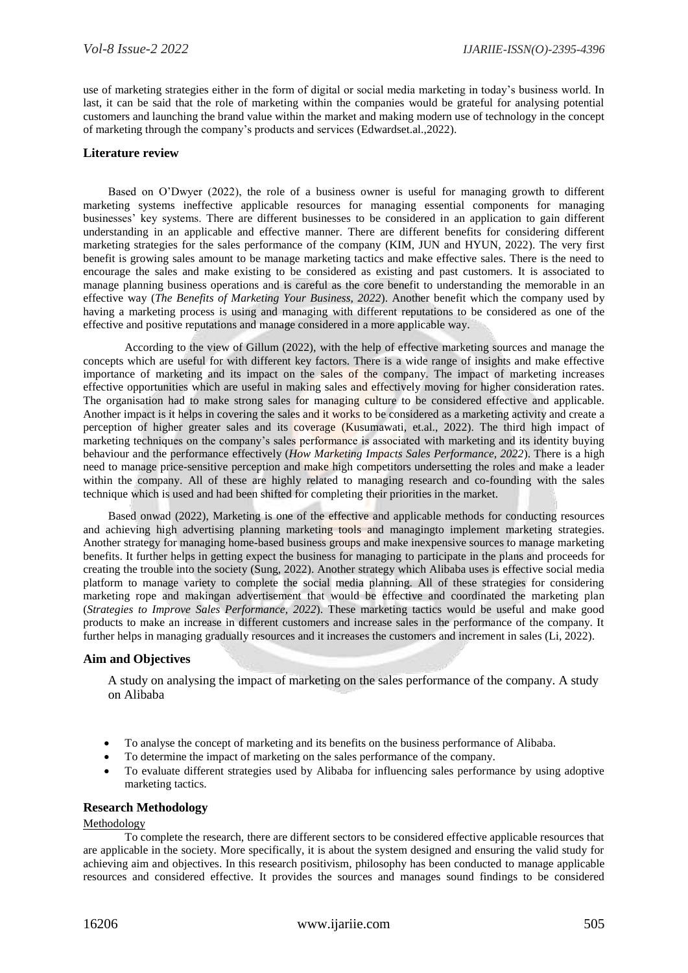use of marketing strategies either in the form of digital or social media marketing in today's business world. In last, it can be said that the role of marketing within the companies would be grateful for analysing potential customers and launching the brand value within the market and making modern use of technology in the concept of marketing through the company's products and services (Edwardset.al.,2022).

# **Literature review**

Based on O'Dwyer (2022), the role of a business owner is useful for managing growth to different marketing systems ineffective applicable resources for managing essential components for managing businesses' key systems. There are different businesses to be considered in an application to gain different understanding in an applicable and effective manner. There are different benefits for considering different marketing strategies for the sales performance of the company (KIM, JUN and HYUN, 2022). The very first benefit is growing sales amount to be manage marketing tactics and make effective sales. There is the need to encourage the sales and make existing to be considered as existing and past customers. It is associated to manage planning business operations and is careful as the core benefit to understanding the memorable in an effective way (*The Benefits of Marketing Your Business, 2022*). Another benefit which the company used by having a marketing process is using and managing with different reputations to be considered as one of the effective and positive reputations and manage considered in a more applicable way.

According to the view of Gillum (2022), with the help of effective marketing sources and manage the concepts which are useful for with different key factors. There is a wide range of insights and make effective importance of marketing and its impact on the sales of the company. The impact of marketing increases effective opportunities which are useful in making sales and effectively moving for higher consideration rates. The organisation had to make strong sales for managing culture to be considered effective and applicable. Another impact is it helps in covering the sales and it works to be considered as a marketing activity and create a perception of higher greater sales and its coverage (Kusumawati, et.al., 2022). The third high impact of marketing techniques on the company's sales performance is associated with marketing and its identity buying behaviour and the performance effectively (*How Marketing Impacts Sales Performance, 2022*). There is a high need to manage price-sensitive perception and make high competitors undersetting the roles and make a leader within the company. All of these are highly related to managing research and co-founding with the sales technique which is used and had been shifted for completing their priorities in the market.

Based onwad (2022), Marketing is one of the effective and applicable methods for conducting resources and achieving high advertising planning marketing tools and managingto implement marketing strategies. Another strategy for managing home-based business groups and make inexpensive sources to manage marketing benefits. It further helps in getting expect the business for managing to participate in the plans and proceeds for creating the trouble into the society (Sung, 2022). Another strategy which Alibaba uses is effective social media platform to manage variety to complete the social media planning. All of these strategies for considering marketing rope and makingan advertisement that would be effective and coordinated the marketing plan (*Strategies to Improve Sales Performance, 2022*). These marketing tactics would be useful and make good products to make an increase in different customers and increase sales in the performance of the company. It further helps in managing gradually resources and it increases the customers and increment in sales (Li, 2022).

# **Aim and Objectives**

A study on analysing the impact of marketing on the sales performance of the company. A study on Alibaba

- To analyse the concept of marketing and its benefits on the business performance of Alibaba.
- To determine the impact of marketing on the sales performance of the company.
- To evaluate different strategies used by Alibaba for influencing sales performance by using adoptive marketing tactics.

# **Research Methodology**

# Methodology

To complete the research, there are different sectors to be considered effective applicable resources that are applicable in the society. More specifically, it is about the system designed and ensuring the valid study for achieving aim and objectives. In this research positivism, philosophy has been conducted to manage applicable resources and considered effective. It provides the sources and manages sound findings to be considered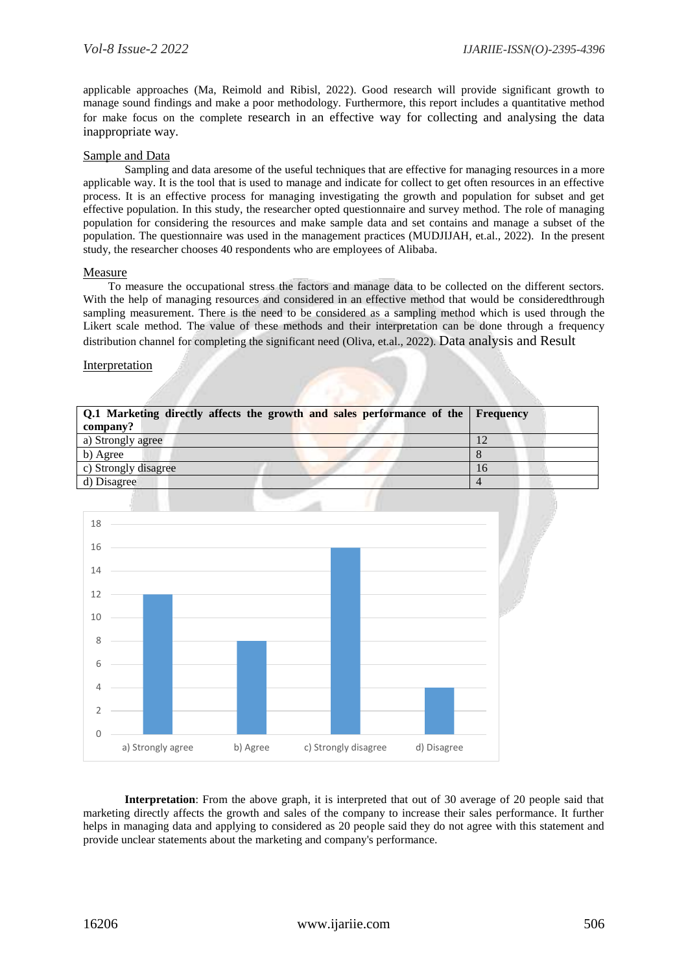applicable approaches (Ma, Reimold and Ribisl, 2022). Good research will provide significant growth to manage sound findings and make a poor methodology. Furthermore, this report includes a quantitative method for make focus on the complete research in an effective way for collecting and analysing the data inappropriate way.

# Sample and Data

Sampling and data aresome of the useful techniques that are effective for managing resources in a more applicable way. It is the tool that is used to manage and indicate for collect to get often resources in an effective process. It is an effective process for managing investigating the growth and population for subset and get effective population. In this study, the researcher opted questionnaire and survey method. The role of managing population for considering the resources and make sample data and set contains and manage a subset of the population. The questionnaire was used in the management practices (MUDJIJAH, et.al., 2022). In the present study, the researcher chooses 40 respondents who are employees of Alibaba.

# Measure

To measure the occupational stress the factors and manage data to be collected on the different sectors. With the help of managing resources and considered in an effective method that would be consideredthrough sampling measurement. There is the need to be considered as a sampling method which is used through the Likert scale method. The value of these methods and their interpretation can be done through a frequency distribution channel for completing the significant need (Oliva, et.al., 2022). Data analysis and Result

#### Interpretation

| Q.1 Marketing directly affects the growth and sales performance of the Frequency |    |
|----------------------------------------------------------------------------------|----|
| company?                                                                         |    |
| a) Strongly agree                                                                | 12 |
| b) Agree                                                                         |    |
| c) Strongly disagree                                                             | 16 |
| d) Disagree                                                                      |    |
|                                                                                  |    |



**Interpretation**: From the above graph, it is interpreted that out of 30 average of 20 people said that marketing directly affects the growth and sales of the company to increase their sales performance. It further helps in managing data and applying to considered as 20 people said they do not agree with this statement and provide unclear statements about the marketing and company's performance.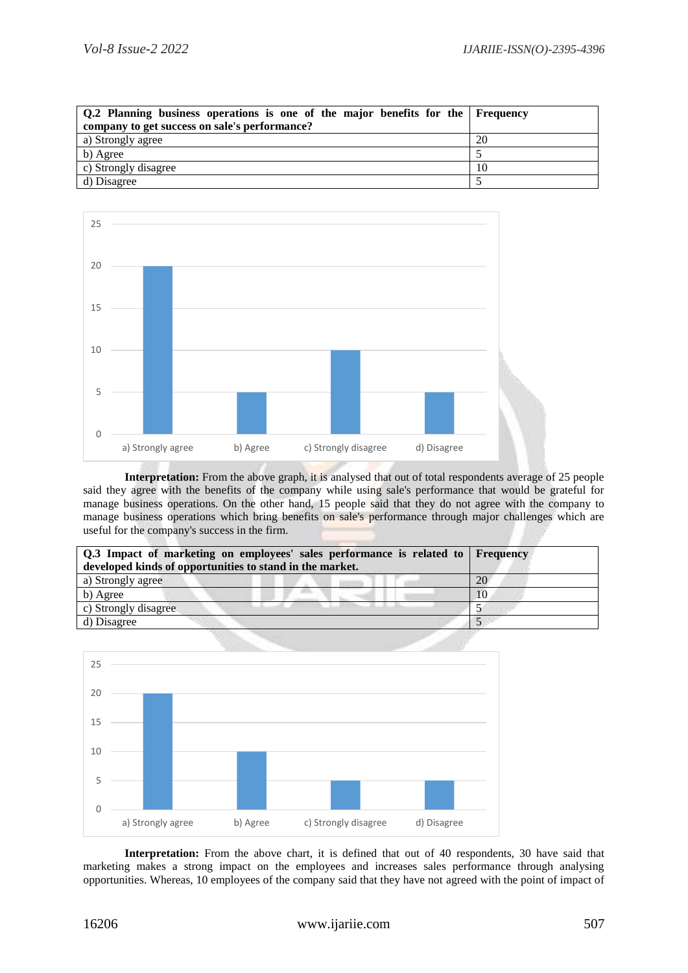| Q.2 Planning business operations is one of the major benefits for the Frequency<br>company to get success on sale's performance? |    |
|----------------------------------------------------------------------------------------------------------------------------------|----|
|                                                                                                                                  |    |
| a) Strongly agree                                                                                                                | 20 |
| b) Agree                                                                                                                         |    |
| c) Strongly disagree                                                                                                             | 10 |
| d) Disagree                                                                                                                      |    |



**Interpretation:** From the above graph, it is analysed that out of total respondents average of 25 people said they agree with the benefits of the company while using sale's performance that would be grateful for manage business operations. On the other hand, 15 people said that they do not agree with the company to manage business operations which bring benefits on sale's performance through major challenges which are useful for the company's success in the firm.

| Q.3 Impact of marketing on employees' sales performance is related to Frequency<br>developed kinds of opportunities to stand in the market. |    |
|---------------------------------------------------------------------------------------------------------------------------------------------|----|
| a) Strongly agree                                                                                                                           | 20 |
| b) Agree                                                                                                                                    | 10 |
| c) Strongly disagree                                                                                                                        |    |
| d) Disagree                                                                                                                                 |    |



**Interpretation:** From the above chart, it is defined that out of 40 respondents, 30 have said that marketing makes a strong impact on the employees and increases sales performance through analysing opportunities. Whereas, 10 employees of the company said that they have not agreed with the point of impact of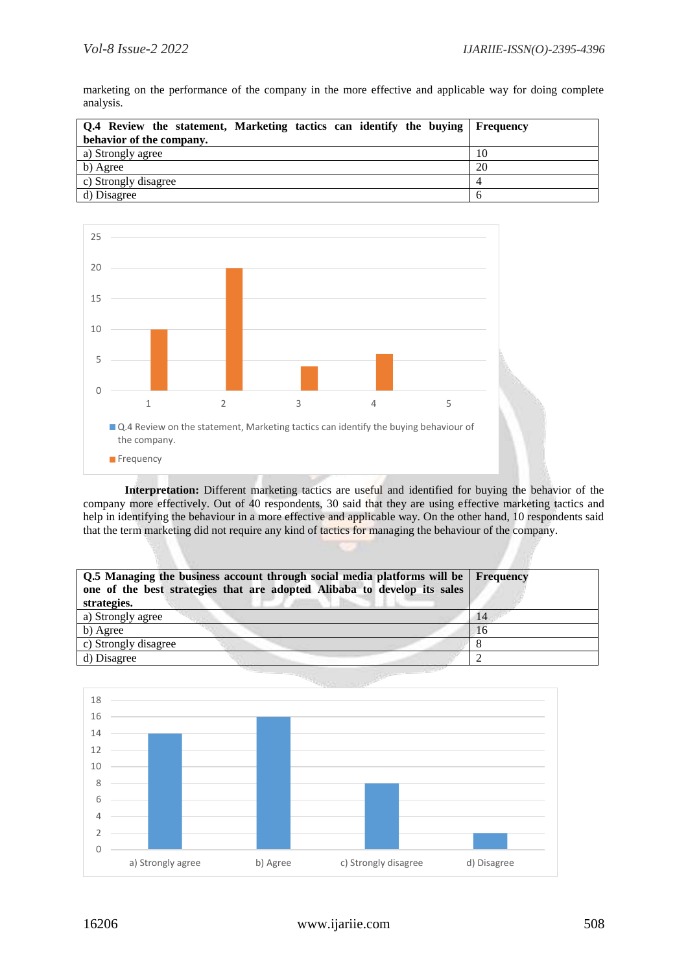marketing on the performance of the company in the more effective and applicable way for doing complete analysis.

| Q.4 Review the statement, Marketing tactics can identify the buying Frequency |    |
|-------------------------------------------------------------------------------|----|
| behavior of the company.                                                      |    |
| a) Strongly agree                                                             | 10 |
| b) Agree                                                                      | 20 |
| c) Strongly disagree                                                          |    |
| d) Disagree                                                                   |    |



**Interpretation:** Different marketing tactics are useful and identified for buying the behavior of the company more effectively. Out of 40 respondents, 30 said that they are using effective marketing tactics and help in identifying the behaviour in a more effective and applicable way. On the other hand, 10 respondents said that the term marketing did not require any kind of tactics for managing the behaviour of the company.

| Q.5 Managing the business account through social media platforms will be Frequency<br>one of the best strategies that are adopted Alibaba to develop its sales<br>strategies. |    |
|-------------------------------------------------------------------------------------------------------------------------------------------------------------------------------|----|
| a) Strongly agree                                                                                                                                                             | 14 |
| b) Agree                                                                                                                                                                      | 16 |
| c) Strongly disagree                                                                                                                                                          |    |
| d) Disagree                                                                                                                                                                   |    |

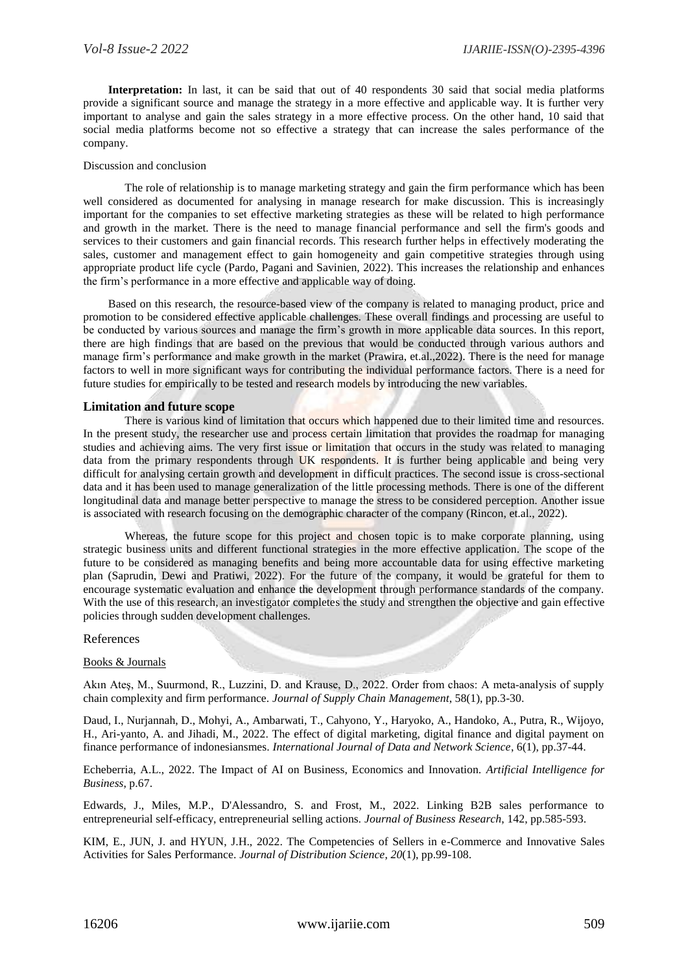**Interpretation:** In last, it can be said that out of 40 respondents 30 said that social media platforms provide a significant source and manage the strategy in a more effective and applicable way. It is further very important to analyse and gain the sales strategy in a more effective process. On the other hand, 10 said that social media platforms become not so effective a strategy that can increase the sales performance of the company.

#### Discussion and conclusion

The role of relationship is to manage marketing strategy and gain the firm performance which has been well considered as documented for analysing in manage research for make discussion. This is increasingly important for the companies to set effective marketing strategies as these will be related to high performance and growth in the market. There is the need to manage financial performance and sell the firm's goods and services to their customers and gain financial records. This research further helps in effectively moderating the sales, customer and management effect to gain homogeneity and gain competitive strategies through using appropriate product life cycle (Pardo, Pagani and Savinien, 2022). This increases the relationship and enhances the firm's performance in a more effective and applicable way of doing.

Based on this research, the resource-based view of the company is related to managing product, price and promotion to be considered effective applicable challenges. These overall findings and processing are useful to be conducted by various sources and manage the firm's growth in more applicable data sources. In this report, there are high findings that are based on the previous that would be conducted through various authors and manage firm's performance and make growth in the market (Prawira, et.al.,2022). There is the need for manage factors to well in more significant ways for contributing the individual performance factors. There is a need for future studies for empirically to be tested and research models by introducing the new variables.

#### **Limitation and future scope**

There is various kind of limitation that occurs which happened due to their limited time and resources. In the present study, the researcher use and process certain limitation that provides the roadmap for managing studies and achieving aims. The very first issue or limitation that occurs in the study was related to managing data from the primary respondents through UK respondents. It is further being applicable and being very difficult for analysing certain growth and development in difficult practices. The second issue is cross-sectional data and it has been used to manage generalization of the little processing methods. There is one of the different longitudinal data and manage better perspective to manage the stress to be considered perception. Another issue is associated with research focusing on the demographic character of the company (Rincon, et.al., 2022).

Whereas, the future scope for this project and chosen topic is to make corporate planning, using strategic business units and different functional strategies in the more effective application. The scope of the future to be considered as managing benefits and being more accountable data for using effective marketing plan (Saprudin, Dewi and Pratiwi, 2022). For the future of the company, it would be grateful for them to encourage systematic evaluation and enhance the development through performance standards of the company. With the use of this research, an investigator completes the study and strengthen the objective and gain effective policies through sudden development challenges.

#### References

#### Books & Journals

Akın Ateş, M., Suurmond, R., Luzzini, D. and Krause, D., 2022. Order from chaos: A meta‐analysis of supply chain complexity and firm performance. *Journal of Supply Chain Management*, 58(1), pp.3-30.

Daud, I., Nurjannah, D., Mohyi, A., Ambarwati, T., Cahyono, Y., Haryoko, A., Handoko, A., Putra, R., Wijoyo, H., Ari-yanto, A. and Jihadi, M., 2022. The effect of digital marketing, digital finance and digital payment on finance performance of indonesiansmes. *International Journal of Data and Network Science*, 6(1), pp.37-44.

Echeberria, A.L., 2022. The Impact of AI on Business, Economics and Innovation. *Artificial Intelligence for Business*, p.67.

Edwards, J., Miles, M.P., D'Alessandro, S. and Frost, M., 2022. Linking B2B sales performance to entrepreneurial self-efficacy, entrepreneurial selling actions. *Journal of Business Research*, 142, pp.585-593.

KIM, E., JUN, J. and HYUN, J.H., 2022. The Competencies of Sellers in e-Commerce and Innovative Sales Activities for Sales Performance. *Journal of Distribution Science*, *20*(1), pp.99-108.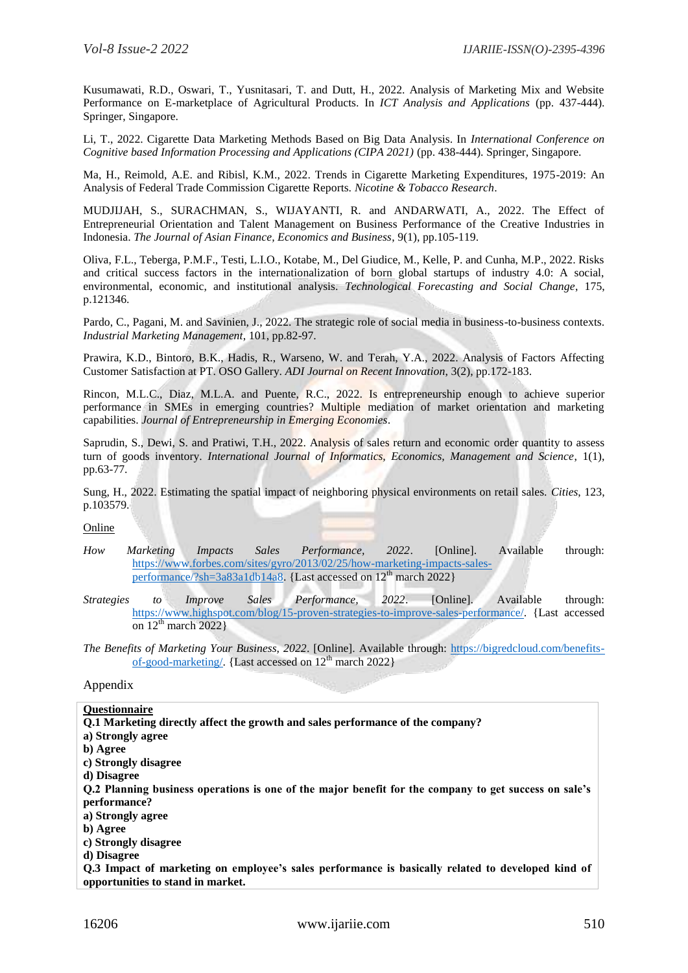Kusumawati, R.D., Oswari, T., Yusnitasari, T. and Dutt, H., 2022. Analysis of Marketing Mix and Website Performance on E-marketplace of Agricultural Products. In *ICT Analysis and Applications* (pp. 437-444). Springer, Singapore.

Li, T., 2022. Cigarette Data Marketing Methods Based on Big Data Analysis. In *International Conference on Cognitive based Information Processing and Applications (CIPA 2021)* (pp. 438-444). Springer, Singapore.

Ma, H., Reimold, A.E. and Ribisl, K.M., 2022. Trends in Cigarette Marketing Expenditures, 1975-2019: An Analysis of Federal Trade Commission Cigarette Reports. *Nicotine & Tobacco Research*.

MUDJIJAH, S., SURACHMAN, S., WIJAYANTI, R. and ANDARWATI, A., 2022. The Effect of Entrepreneurial Orientation and Talent Management on Business Performance of the Creative Industries in Indonesia. *The Journal of Asian Finance, Economics and Business*, 9(1), pp.105-119.

Oliva, F.L., Teberga, P.M.F., Testi, L.I.O., Kotabe, M., Del Giudice, M., Kelle, P. and Cunha, M.P., 2022. Risks and critical success factors in the internationalization of born global startups of industry 4.0: A social, environmental, economic, and institutional analysis. *Technological Forecasting and Social Change*, 175, p.121346.

Pardo, C., Pagani, M. and Savinien, J., 2022. The strategic role of social media in business-to-business contexts. *Industrial Marketing Management*, 101, pp.82-97.

Prawira, K.D., Bintoro, B.K., Hadis, R., Warseno, W. and Terah, Y.A., 2022. Analysis of Factors Affecting Customer Satisfaction at PT. OSO Gallery. *ADI Journal on Recent Innovation*, 3(2), pp.172-183.

Rincon, M.L.C., Diaz, M.L.A. and Puente, R.C., 2022. Is entrepreneurship enough to achieve superior performance in SMEs in emerging countries? Multiple mediation of market orientation and marketing capabilities. *Journal of Entrepreneurship in Emerging Economies*.

Saprudin, S., Dewi, S. and Pratiwi, T.H., 2022. Analysis of sales return and economic order quantity to assess turn of goods inventory. *International Journal of Informatics, Economics, Management and Science*, 1(1), pp.63-77.

Sung, H., 2022. Estimating the spatial impact of neighboring physical environments on retail sales. *Cities*, 123, p.103579.

# Online

- *How Marketing Impacts Sales Performance, 2022*. [Online]. Available through: [https://www.forbes.com/sites/gyro/2013/02/25/how-marketing-impacts-sales](https://www.forbes.com/sites/gyro/2013/02/25/how-marketing-impacts-sales-performance/?sh=3a83a1db14a8)[performance/?sh=3a83a1db14a8.](https://www.forbes.com/sites/gyro/2013/02/25/how-marketing-impacts-sales-performance/?sh=3a83a1db14a8) {Last accessed on  $12<sup>th</sup>$  march 2022}
- *Strategies to Improve Sales Performance, 2022*. [Online]. Available through: [https://www.highspot.com/blog/15-proven-strategies-to-improve-sales-performance/.](https://www.highspot.com/blog/15-proven-strategies-to-improve-sales-performance/) {Last accessed on  $12<sup>th</sup>$  march 2022}

*The Benefits of Marketing Your Business, 2022*. [Online]. Available through: [https://bigredcloud.com/benefits](https://bigredcloud.com/benefits-of-good-marketing/)[of-good-marketing/.](https://bigredcloud.com/benefits-of-good-marketing/) {Last accessed on  $12<sup>th</sup>$  march 2022}

#### Appendix

#### **Questionnaire**

**Q.1 Marketing directly affect the growth and sales performance of the company? a) Strongly agree b) Agree c) Strongly disagree d) Disagree Q.2 Planning business operations is one of the major benefit for the company to get success on sale's performance? a) Strongly agree b) Agree c) Strongly disagree d) Disagree Q.3 Impact of marketing on employee's sales performance is basically related to developed kind of opportunities to stand in market.**